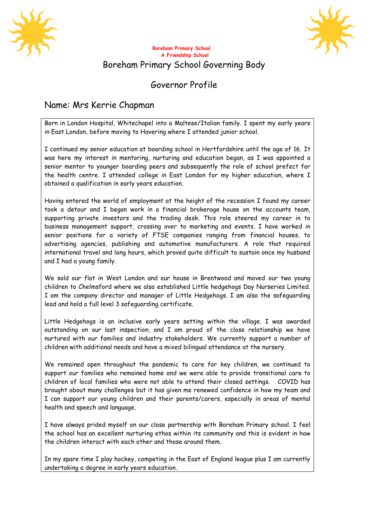



## **Boreham Primary School A Friendship School** Boreham Primary School Governing Body

## Governor Profile

## Name: Mrs Kerrie Chapman

Born in London Hospital, Whitechapel into a Maltese/Italian family. I spent my early years in East London, before moving to Havering where I attended junior school.

I continued my senior education at boarding school in Hertfordshire until the age of 16. It was here my interest in mentoring, nurturing and education began, as I was appointed a senior mentor to younger boarding peers and subsequently the role of school prefect for the health centre. I attended college in East London for my higher education, where I obtained a qualification in early years education.

Having entered the world of employment at the height of the recession I found my career took a detour and I began work in a financial brokerage house on the accounts team, supporting private investors and the trading desk. This role steered my career in to business management support, crossing over to marketing and events. I have worked in senior positions for a variety of FTSE companies ranging from financial houses, to advertising agencies, publishing and automotive manufacturers. A role that required international travel and long hours, which proved quite difficult to sustain once my husband and I had a young family.

We sold our flat in West London and our house in Brentwood and moved our two young children to Chelmsford where we also established Little hedgehogs Day Nurseries Limited. I am the company director and manager of Little Hedgehogs. I am also the safeguarding lead and hold a full level 3 safeguarding certificate.

Little Hedgehogs is an inclusive early years setting within the village. I was awarded outstanding on our last inspection, and I am proud of the close relationship we have nurtured with our families and industry stakeholders. We currently support a number of children with additional needs and have a mixed bilingual attendance at the nursery.

We remained open throughout the pandemic to care for key children, we continued to support our families who remained home and we were able to provide transitional care to children of local families who were not able to attend their closed settings. COVID has brought about many challenges but it has given me renewed confidence in how my team and I can support our young children and their parents/carers, especially in areas of mental health and speech and language.

I have always prided myself on our close partnership with Boreham Primary school. I feel the school has an excellent nurturing ethos within its community and this is evident in how the children interact with each other and those around them.

In my spare time I play hockey, competing in the East of England league plus I am currently undertaking a degree in early years education.